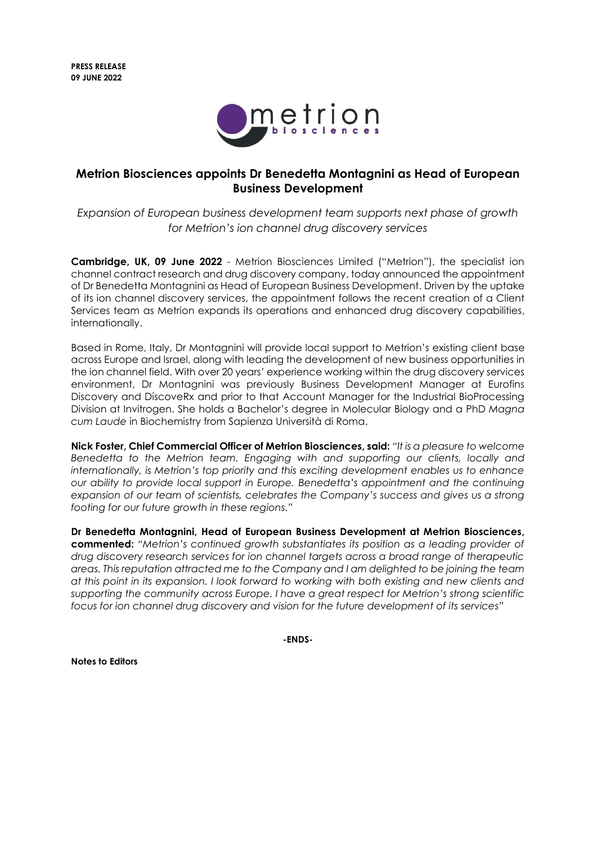

## **Metrion Biosciences appoints Dr Benedetta Montagnini as Head of European Business Development**

*Expansion of European business development team supports next phase of growth for Metrion's ion channel drug discovery services* 

**Cambridge, UK, 09 June 2022** - Metrion Biosciences Limited ("Metrion"), the specialist ion channel contract research and drug discovery company, today announced the appointment of Dr Benedetta Montagnini as Head of European Business Development. Driven by the uptake of its ion channel discovery services, the appointment follows the recent creation of a Client Services team as Metrion expands its operations and enhanced drug discovery capabilities, internationally.

Based in Rome, Italy, Dr Montagnini will provide local support to Metrion's existing client base across Europe and Israel, along with leading the development of new business opportunities in the ion channel field. With over 20 years' experience working within the drug discovery services environment, Dr Montagnini was previously Business Development Manager at Eurofins Discovery and DiscoveRx and prior to that Account Manager for the Industrial BioProcessing Division at Invitrogen. She holds a Bachelor's degree in Molecular Biology and a PhD *Magna cum Laude* in Biochemistry from Sapienza Università di Roma.

**Nick Foster, Chief Commercial Officer of Metrion Biosciences, said:** *"It is a pleasure to welcome Benedetta to the Metrion team. Engaging with and supporting our clients, locally and internationally, is Metrion's top priority and this exciting development enables us to enhance our ability to provide local support in Europe. Benedetta's appointment and the continuing expansion of our team of scientists, celebrates the Company's success and gives us a strong footing for our future growth in these regions."*

**Dr Benedetta Montagnini, Head of European Business Development at Metrion Biosciences, commented:** *"Metrion's continued growth substantiates its position as a leading provider of drug discovery research services for ion channel targets across a broad range of therapeutic areas. This reputation attracted me to the Company and I am delighted to be joining the team at this point in its expansion. I look forward to working with both existing and new clients and supporting the community across Europe. I have a great respect for Metrion's strong scientific focus for ion channel drug discovery and vision for the future development of its services"*

**-ENDS-**

**Notes to Editors**